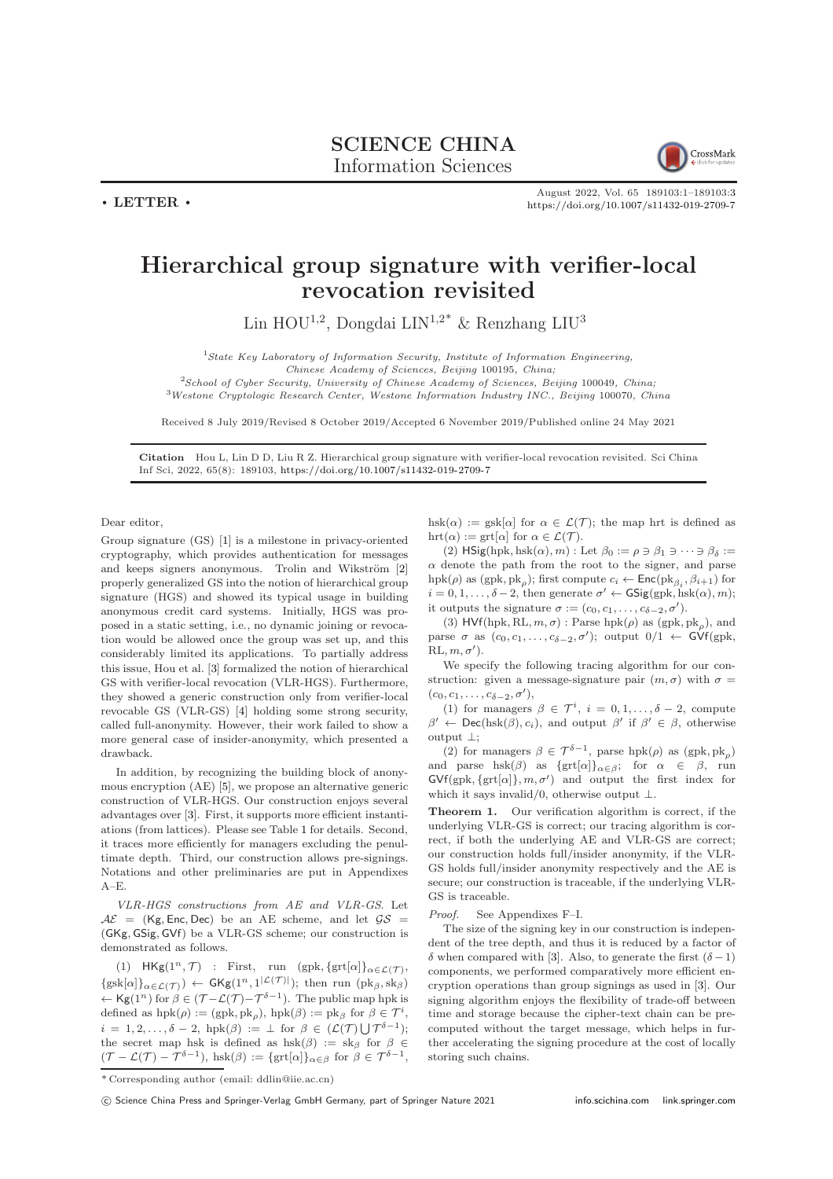$\cdot$  LETTER  $\cdot$ 



August 2022, Vol. 65 189103:1–189103[:3](#page-2-0) <https://doi.org/10.1007/s11432-019-2709-7>

## Hierarchical group signature with verifier-local revocation revisited

Lin HOU<sup>1,2</sup>, Dongdai LIN<sup>1,2\*</sup> & Renzhang LIU<sup>3</sup>

<sup>1</sup>State Key Laboratory of Information Security, Institute of Information Engineering,

Chinese Academy of Sciences, Beijing 100195, China;

 $2$ School of Cyber Security, University of Chinese Academy of Sciences, Beijing 100049, China; <sup>3</sup>Westone Cryptologic Research Center, Westone Information Industry INC., Beijing 100070, China

Received 8 July 2019/Revised 8 October 2019/Accepted 6 November 2019/Published online 24 May 2021

Citation Hou L, Lin D D, Liu R Z. Hierarchical group signature with verifier-local revocation revisited. Sci China Inf Sci, 2022, 65(8): 189103, <https://doi.org/10.1007/s11432-019-2709-7>

Dear editor,

Group signature (GS) [\[1\]](#page-1-0) is a milestone in privacy-oriented cryptography, which provides authentication for messages and keeps signers anonymous. Trolin and Wikström [\[2\]](#page-1-1) properly generalized GS into the notion of hierarchical group signature (HGS) and showed its typical usage in building anonymous credit card systems. Initially, HGS was proposed in a static setting, i.e., no dynamic joining or revocation would be allowed once the group was set up, and this considerably limited its applications. To partially address this issue, Hou et al. [\[3\]](#page-1-2) formalized the notion of hierarchical GS with verifier-local revocation (VLR-HGS). Furthermore, they showed a generic construction only from verifier-local revocable GS (VLR-GS) [\[4\]](#page-1-3) holding some strong security, called full-anonymity. However, their work failed to show a more general case of insider-anonymity, which presented a drawback.

In addition, by recognizing the building block of anonymous encryption (AE) [\[5\]](#page-1-4), we propose an alternative generic construction of VLR-HGS. Our construction enjoys several advantages over [\[3\]](#page-1-2). First, it supports more efficient instantiations (from lattices). Please see Table [1](#page-1-5) for details. Second, it traces more efficiently for managers excluding the penultimate depth. Third, our construction allows pre-signings. Notations and other preliminaries are put in Appendixes  $A-F$ .

VLR-HGS constructions from AE and VLR-GS. Let  $A\mathcal{E}$  = (Kg, Enc, Dec) be an AE scheme, and let  $\mathcal{GS}$  = (GKg, GSig, GVf) be a VLR-GS scheme; our construction is demonstrated as follows.

(1)  $HKg(1^n, \mathcal{T})$  : First, run (gpk, {grt[ $\alpha$ ]} $_{\alpha \in \mathcal{L}(\mathcal{T})}$ ,  $\{gsk[\alpha]\}_{\alpha \in \mathcal{L}(\mathcal{T})}\$   $\leftarrow$   $GKg(1^n, 1^{|\mathcal{L}(\mathcal{T})|})$ ; then run  $(\text{pk}_{\beta}, \text{sk}_{\beta})$  $\leftarrow$  Kg(1<sup>n</sup>) for β ∈ ( $\mathcal{T}$ - $\mathcal{L}(\mathcal{T})$ - $\mathcal{T}^{\delta-1}$ ). The public map hpk is defined as  $hpk(\rho) := (gpk, pk_\rho), hpk(\beta) := pk_\beta$  for  $\beta \in \mathcal{T}^i$ ,  $i = 1, 2, \ldots, \delta - 2$ , hpk $(\beta) := \bot$  for  $\beta \in (\mathcal{L}(\mathcal{T}) \cup \mathcal{T}^{\delta - 1})$ ; the secret map hsk is defined as  $hsk(\beta) := sk_{\beta}$  for  $\beta \in$  $(\mathcal{T} - \mathcal{L}(\mathcal{T}) - \mathcal{T}^{\delta - 1}), \text{ hsk}(\beta) := \{\text{grt}[\alpha]\}_{\alpha \in \beta} \text{ for } \beta \in \mathcal{T}^{\delta - 1},$ 

hsk( $\alpha$ ) := gsk[ $\alpha$ ] for  $\alpha \in \mathcal{L}(\mathcal{T})$ ; the map hrt is defined as hrt $(\alpha) := \text{grt}[\alpha]$  for  $\alpha \in \mathcal{L}(\mathcal{T})$ .

(2) HSig(hpk, hsk $(\alpha)$ , m) : Let  $\beta_0 := \rho \ni \beta_1 \ni \cdots \ni \beta_\delta :=$  $\alpha$  denote the path from the root to the signer, and parse hpk( $\rho$ ) as (gpk, pk<sub> $\rho$ </sub>); first compute  $c_i \leftarrow \mathsf{Enc}(\mathrm{pk}_{\beta_i}, \beta_{i+1})$  for  $i = 0, 1, \ldots, \delta - 2$ , then generate  $\sigma' \leftarrow \mathsf{GSig}(\text{gpk}, \text{hsk}(\alpha), m);$ it outputs the signature  $\sigma := (c_0, c_1, \ldots, c_{\delta-2}, \sigma').$ 

(3) HVf(hpk, RL,  $m, \sigma$ ) : Parse hpk( $\rho$ ) as (gpk, pk<sub> $\rho$ </sub>), and parse  $\sigma$  as  $(c_0, c_1, \ldots, c_{\delta-2}, \sigma')$ ; output  $0/1 \leftarrow$  GVf(gpk,  $\mathrm{RL}, m, \sigma'$ ).

We specify the following tracing algorithm for our construction: given a message-signature pair  $(m, \sigma)$  with  $\sigma =$  $(c_0, c_1, \ldots, c_{\delta-2}, \sigma'),$ 

(1) for managers  $\beta \in \mathcal{T}^i$ ,  $i = 0, 1, \ldots, \delta - 2$ , compute  $\beta' \leftarrow \mathsf{Dec}(\mathrm{hsk}(\beta), c_i)$ , and output  $\beta'$  if  $\beta' \in \beta$ , otherwise output ⊥;

(2) for managers  $\beta \in \mathcal{T}^{\delta-1}$ , parse hpk $(\rho)$  as  $(\text{gpk}, \text{pk}_{\rho})$ and parse hsk( $\beta$ ) as {grt[ $\alpha$ ]} $_{\alpha \in \beta}$ ; for  $\alpha \in \beta$ , run  $\mathsf{GVf}(\text{gpk}, \{\text{grt}[\alpha]\}, m, \sigma')$  and output the first index for which it says invalid/0, otherwise output  $\perp$ .

Theorem 1. Our verification algorithm is correct, if the underlying VLR-GS is correct; our tracing algorithm is correct, if both the underlying AE and VLR-GS are correct; our construction holds full/insider anonymity, if the VLR-GS holds full/insider anonymity respectively and the AE is secure; our construction is traceable, if the underlying VLR-GS is traceable.

Proof. See Appendixes F–I.

The size of the signing key in our construction is independent of the tree depth, and thus it is reduced by a factor of δ when compared with [\[3\]](#page-1-2). Also, to generate the first  $(δ - 1)$ components, we performed comparatively more efficient encryption operations than group signings as used in [\[3\]](#page-1-2). Our signing algorithm enjoys the flexibility of trade-off between time and storage because the cipher-text chain can be precomputed without the target message, which helps in further accelerating the signing procedure at the cost of locally storing such chains.

<sup>\*</sup> Corresponding author (email: ddlin@iie.ac.cn)

<sup>(</sup>C) Science China Press and Springer-Verlag GmbH Germany, part of Springer Nature 2021 <info.scichina.com><link.springer.com>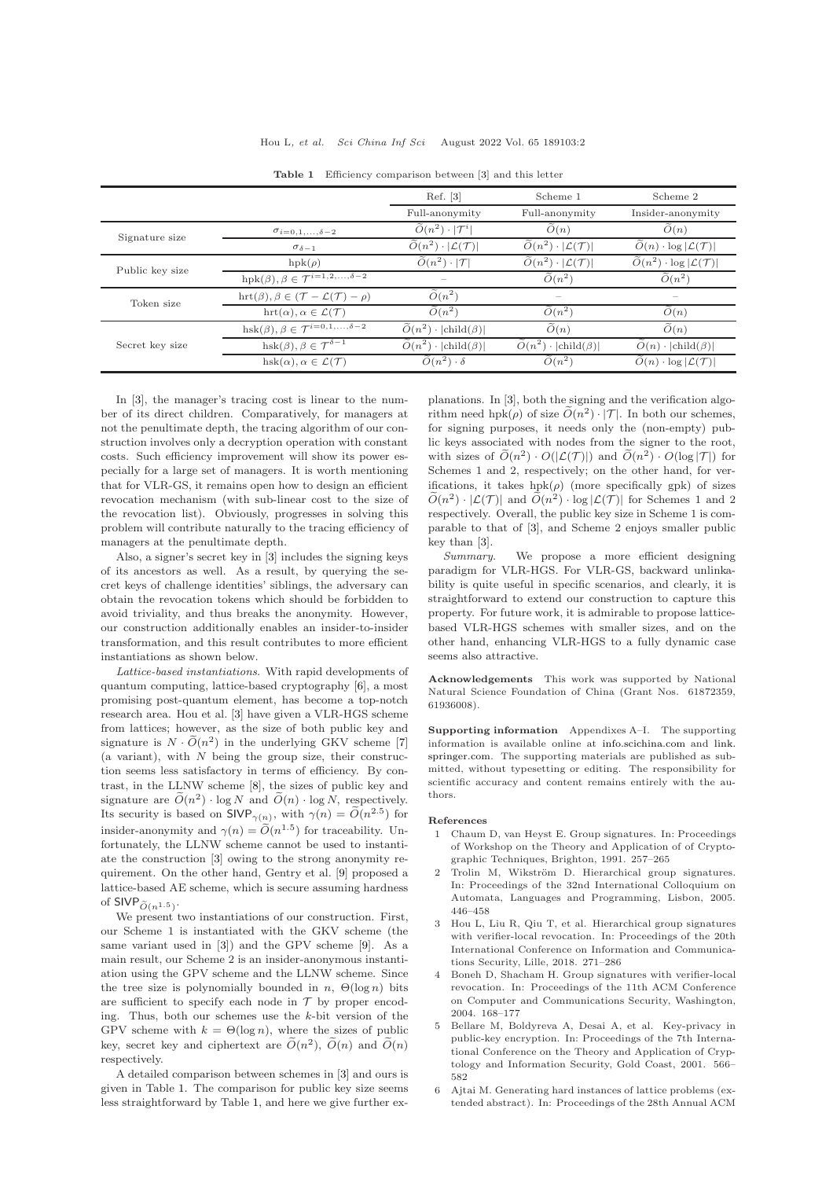<span id="page-1-5"></span>

|                 |                                                                          | Ref. [3]                                              | Scheme 1                                              | Scheme 2                                                   |
|-----------------|--------------------------------------------------------------------------|-------------------------------------------------------|-------------------------------------------------------|------------------------------------------------------------|
|                 |                                                                          | Full-anonymity                                        | Full-anonymity                                        | Insider-anonymity                                          |
| Signature size  | $\sigma_{i=0,1,\ldots,\delta-2}$                                         | $\widetilde{O}(n^2) \cdot  \mathcal{T}^i $            | O(n)                                                  | O(n)                                                       |
|                 | $\sigma_{\delta-1}$                                                      | $\widetilde{O}(n^2) \cdot  \mathcal{L}(\mathcal{T}) $ | $\widetilde{O}(n^2) \cdot  \mathcal{L}(\mathcal{T}) $ | $O(n) \cdot \log  \mathcal{L}(\mathcal{T}) $               |
| Public key size | $hpk(\rho)$                                                              | $\widetilde{O}(n^2) \cdot  \mathcal{T} $              | $\widetilde{O}(n^2) \cdot  \mathcal{L}(\mathcal{T}) $ | $\widetilde{O}(n^2) \cdot \log  \mathcal{L}(\mathcal{T}) $ |
|                 | hpk $(\beta), \beta \in \mathcal{T}^{i=1,2,\ldots,\delta-2}$             | $\hspace{0.1mm}-\hspace{0.1mm}$                       | $O(n^2)$                                              | $O(n^2)$                                                   |
| Token size      | hrt $(\beta), \beta \in (\mathcal{T} - \mathcal{L}(\mathcal{T}) - \rho)$ | $\tilde{O}(n^2)$                                      | $\hspace{0.1mm}-\hspace{0.1mm}$                       | $\hspace{0.05cm}$                                          |
|                 | $\mathrm{hrt}(\alpha), \alpha \in \mathcal{L}(\mathcal{T})$              | $\tilde{O}(n^2)$                                      | $O(n^2)$                                              | O(n)                                                       |
| Secret key size | hsk $(\beta), \beta \in \mathcal{T}^{i=0,1,\ldots,\delta-2}$             | $\widetilde{O}(n^2) \cdot  \text{child}(\beta) $      | O(n)                                                  | O(n)                                                       |
|                 | hsk $(\beta), \beta \in \overline{\mathcal{T}^{\delta-1}}$               | $\widetilde{O}(n^2) \cdot  \text{child}(\beta) $      | $\widetilde{O}(n^2) \cdot  \text{child}(\beta) $      | $O(n) \cdot  child(\beta) $                                |
|                 | hsk $(\alpha)$ , $\alpha \in \mathcal{L}(\mathcal{T})$                   | $\tilde{O}(n^2) \cdot \delta$                         | $O(n^2)$                                              | $O(n) \cdot \log  \mathcal{L}(\mathcal{T}) $               |

Table 1 Efficiency comparison between [\[3\]](#page-1-2) and this letter

In [\[3\]](#page-1-2), the manager's tracing cost is linear to the number of its direct children. Comparatively, for managers at not the penultimate depth, the tracing algorithm of our construction involves only a decryption operation with constant costs. Such efficiency improvement will show its power especially for a large set of managers. It is worth mentioning that for VLR-GS, it remains open how to design an efficient revocation mechanism (with sub-linear cost to the size of the revocation list). Obviously, progresses in solving this problem will contribute naturally to the tracing efficiency of managers at the penultimate depth.

Also, a signer's secret key in [\[3\]](#page-1-2) includes the signing keys of its ancestors as well. As a result, by querying the secret keys of challenge identities' siblings, the adversary can obtain the revocation tokens which should be forbidden to avoid triviality, and thus breaks the anonymity. However, our construction additionally enables an insider-to-insider transformation, and this result contributes to more efficient instantiations as shown below.

Lattice-based instantiations. With rapid developments of quantum computing, lattice-based cryptography [\[6\]](#page-1-6), a most promising post-quantum element, has become a top-notch research area. Hou et al. [\[3\]](#page-1-2) have given a VLR-HGS scheme from lattices; however, as the size of both public key and signature is  $N \cdot \widetilde{O}(n^2)$  in the underlying GKV scheme [\[7\]](#page-2-1)  $(a$  variant), with  $N$  being the group size, their construction seems less satisfactory in terms of efficiency. By contrast, in the LLNW scheme [\[8\]](#page-2-2), the sizes of public key and signature are  $\tilde{O}(n^2) \cdot \log N$  and  $\tilde{O}(n) \cdot \log N$ , respectively. Its security is based on  $\textsf{SIVP}_{\gamma(n)}$ , with  $\gamma(n) = \widetilde{O}(n^{2.5})$  for insider-anonymity and  $\gamma(n) = \tilde{O}(n^{1.5})$  for traceability. Unfortunately, the LLNW scheme cannot be used to instantiate the construction [\[3\]](#page-1-2) owing to the strong anonymity requirement. On the other hand, Gentry et al. [\[9\]](#page-2-3) proposed a lattice-based AE scheme, which is secure assuming hardness of SIVP $_{\widetilde{O}(n^{1.5})}$ .

We present two instantiations of our construction. First, our Scheme 1 is instantiated with the GKV scheme (the same variant used in [\[3\]](#page-1-2)) and the GPV scheme [\[9\]](#page-2-3). As a main result, our Scheme 2 is an insider-anonymous instantiation using the GPV scheme and the LLNW scheme. Since the tree size is polynomially bounded in  $n$ ,  $\Theta(\log n)$  bits are sufficient to specify each node in  $\mathcal T$  by proper encoding. Thus, both our schemes use the k-bit version of the GPV scheme with  $k = \Theta(\log n)$ , where the sizes of public key, secret key and ciphertext are  $\tilde{O}(n^2)$ ,  $\tilde{O}(n)$  and  $\tilde{O}(n)$ respectively.

A detailed comparison between schemes in [\[3\]](#page-1-2) and ours is given in Table [1.](#page-1-5) The comparison for public key size seems less straightforward by Table [1,](#page-1-5) and here we give further explanations. In [\[3\]](#page-1-2), both the signing and the verification algorithm need hpk $(\rho)$  of size  $\tilde{O}(n^2) \cdot |\mathcal{T}|$ . In both our schemes, for signing purposes, it needs only the (non-empty) public keys associated with nodes from the signer to the root, with sizes of  $\widetilde{O}(n^2) \cdot O(|\mathcal{L}(\mathcal{T})|)$  and  $\widetilde{O}(n^2) \cdot O(\log |\mathcal{T}|)$  for Schemes 1 and 2, respectively; on the other hand, for verifications, it takes  $hpk(\rho)$  (more specifically gpk) of sizes  $\widetilde{O}(n^2) \cdot |\mathcal{L}(\mathcal{T})|$  and  $\widetilde{O}(n^2) \cdot \log |\mathcal{L}(\mathcal{T})|$  for Schemes 1 and 2 respectively. Overall, the public key size in Scheme 1 is comparable to that of [\[3\]](#page-1-2), and Scheme 2 enjoys smaller public key than [\[3\]](#page-1-2).

Summary. We propose a more efficient designing paradigm for VLR-HGS. For VLR-GS, backward unlinkability is quite useful in specific scenarios, and clearly, it is straightforward to extend our construction to capture this property. For future work, it is admirable to propose latticebased VLR-HGS schemes with smaller sizes, and on the other hand, enhancing VLR-HGS to a fully dynamic case seems also attractive.

Acknowledgements This work was supported by National Natural Science Foundation of China (Grant Nos. 61872359, 61936008).

Supporting information Appendixes A–I. The supporting information is available online at <info.scichina.com> and [link.](link.springer.com) [springer.com.](link.springer.com) The supporting materials are published as submitted, without typesetting or editing. The responsibility for scientific accuracy and content remains entirely with the authors.

## <span id="page-1-0"></span>References

- 1 Chaum D, van Heyst E. Group signatures. In: Proceedings of Workshop on the Theory and Application of of Cryptographic Techniques, Brighton, 1991. 257–265
- <span id="page-1-1"></span>Trolin M, Wikström D. Hierarchical group signatures. In: Proceedings of the 32nd International Colloquium on Automata, Languages and Programming, Lisbon, 2005. 446–458
- <span id="page-1-2"></span>3 Hou L, Liu R, Qiu T, et al. Hierarchical group signatures with verifier-local revocation. In: Proceedings of the 20th International Conference on Information and Communications Security, Lille, 2018. 271–286
- <span id="page-1-3"></span>4 Boneh D, Shacham H. Group signatures with verifier-local revocation. In: Proceedings of the 11th ACM Conference on Computer and Communications Security, Washington, 2004. 168–177
- <span id="page-1-4"></span>5 Bellare M, Boldyreva A, Desai A, et al. Key-privacy in public-key encryption. In: Proceedings of the 7th International Conference on the Theory and Application of Cryptology and Information Security, Gold Coast, 2001. 566– 582
- <span id="page-1-6"></span>6 Ajtai M. Generating hard instances of lattice problems (extended abstract). In: Proceedings of the 28th Annual ACM